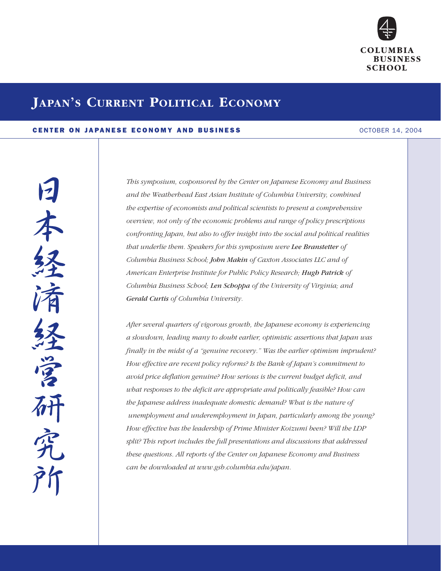

# **JAPAN'S CURRENT POLITICAL ECONOMY**

## CENTER ON JAPANESE ECONOMY AND BUSINESS OCTOBER 14, 2004

富州 究

*This symposium, cosponsored by the Center on Japanese Economy and Business and the Weatherhead East Asian Institute of Columbia University, combined the expertise of economists and political scientists to present a comprehensive overview, not only of the economic problems and range of policy prescriptions confronting Japan, but also to offer insight into the social and political realities that underlie them. Speakers for this symposium were Lee Branstetter of Columbia Business School; John Makin of Caxton Associates LLC and of American Enterprise Institute for Public Policy Research; Hugh Patrick of Columbia Business School; Len Schoppa of the University of Virginia; and Gerald Curtis of Columbia University.*

*After several quarters of vigorous growth, the Japanese economy is experiencing a slowdown, leading many to doubt earlier, optimistic assertions that Japan was finally in the midst of a "genuine recovery." Was the earlier optimism imprudent? How effective are recent policy reforms? Is the Bank of Japan's commitment to avoid price deflation genuine? How serious is the current budget deficit, and what responses to the deficit are appropriate and politically feasible? How can the Japanese address inadequate domestic demand? What is the nature of unemployment and underemployment in Japan, particularly among the young? How effective has the leadership of Prime Minister Koizumi been? Will the LDP split? This report includes the full presentations and discussions that addressed these questions. All reports of the Center on Japanese Economy and Business can be downloaded at www.gsb.columbia.edu/japan.*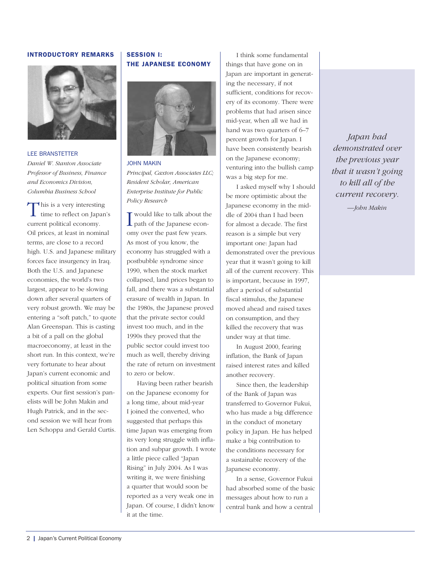## INTRODUCTORY REMARKS



#### LEE BRANSTETTER

*Daniel W. Stanton Associate Professor of Business, Finance and Economics Division, Columbia Business School* 

This is a very interesting<br>time to reflect on Japan's current political economy. Oil prices, at least in nominal terms, are close to a record high. U.S. and Japanese military forces face insurgency in Iraq. Both the U.S. and Japanese economies, the world's two largest, appear to be slowing down after several quarters of very robust growth. We may be entering a "soft patch," to quote Alan Greenspan. This is casting a bit of a pall on the global macroeconomy, at least in the short run. In this context, we're very fortunate to hear about Japan's current economic and political situation from some experts. Our first session's panelists will be John Makin and Hugh Patrick, and in the second session we will hear from Len Schoppa and Gerald Curtis.

# SESSION I: THE JAPANESE ECONOMY



JOHN MAKIN *Principal, Caxton Associates LLC; Resident Scholar, American Enterprise Institute for Public Policy Research*

I would like to talk about the Japanese econwould like to talk about the omy over the past few years. As most of you know, the economy has struggled with a postbubble syndrome since 1990, when the stock market collapsed, land prices began to fall, and there was a substantial erasure of wealth in Japan. In the 1980s, the Japanese proved that the private sector could invest too much, and in the 1990s they proved that the public sector could invest too much as well, thereby driving the rate of return on investment to zero or below.

Having been rather bearish on the Japanese economy for a long time, about mid-year I joined the converted, who suggested that perhaps this time Japan was emerging from its very long struggle with inflation and subpar growth. I wrote a little piece called "Japan Rising" in July 2004. As I was writing it, we were finishing a quarter that would soon be reported as a very weak one in Japan. Of course, I didn't know it at the time.

I think some fundamental things that have gone on in Japan are important in generating the necessary, if not sufficient, conditions for recovery of its economy. There were problems that had arisen since mid-year, when all we had in hand was two quarters of 6–7 percent growth for Japan. I have been consistently bearish on the Japanese economy; venturing into the bullish camp was a big step for me.

I asked myself why I should be more optimistic about the Japanese economy in the middle of 2004 than I had been for almost a decade. The first reason is a simple but very important one: Japan had demonstrated over the previous year that it wasn't going to kill all of the current recovery. This is important, because in 1997, after a period of substantial fiscal stimulus, the Japanese moved ahead and raised taxes on consumption, and they killed the recovery that was under way at that time.

In August 2000, fearing inflation, the Bank of Japan raised interest rates and killed another recovery.

Since then, the leadership of the Bank of Japan was transferred to Governor Fukui, who has made a big difference in the conduct of monetary policy in Japan. He has helped make a big contribution to the conditions necessary for a sustainable recovery of the Japanese economy.

In a sense, Governor Fukui had absorbed some of the basic messages about how to run a central bank and how a central

*Japan had demonstrated over the previous year that it wasn't going to kill all of the current recovery.*

*—John Makin*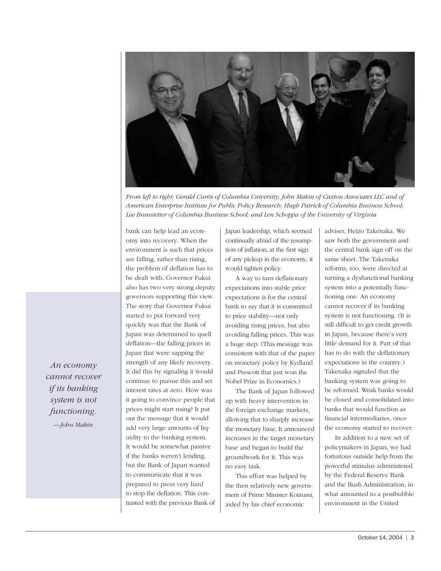

*From left to right: Gerald Curtis of Columbia University; John Makin of Caxton Associates LLC and of American Enterprise Institute for Public Policy Research; Hugh Patrick of Columbia Business School; Lee Branstetter of Columbia Business School; and Len Schoppa of the University of Virginia*

omy into recovery. When the environment is such that prices are falling, rather than rising, the problem of deflation has to be dealt with. Governor Fukui also has two very strong deputy governors supporting this view. The story that Governor Fukui started to put forward very quickly was that the Bank of Japan was determined to quell deflation—the falling prices in Japan that were sapping the strength of any likely recovery. It did this by signaling it would continue to pursue this and set interest rates at zero. How was it going to convince people that prices might start rising? It put out the message that it would add very large amounts of liquidity to the banking system. It would be somewhat passive if the banks weren't lending, but the Bank of Japan wanted to communicate that it was prepared to press very hard to stop the deflation. This contrasted with the previous Bank of

bank can help lead an econ-

Japan leadership, which seemed continually afraid of the resumption of inflation; at the first sign of any pickup in the economy, it would tighten policy.

A way to turn deflationary expectations into stable price expectations is for the central bank to say that it is committed to price stability—not only avoiding rising prices, but also avoiding falling prices. This was a huge step. (This message was consistent with that of the paper on monetary policy by Kydland and Prescott that just won the Nobel Prize in Economics.)

The Bank of Japan followed up with heavy intervention in the foreign exchange markets, allowing that to sharply increase the monetary base. It announced increases in the target monetary base and began to build the groundwork for it. This was no easy task.

This effort was helped by the then relatively new government of Prime Minister Koizumi, aided by his chief economic

adviser, Heizo Takenaka. We saw both the government and the central bank sign off on the same sheet. The Takenaka reforms, too, were directed at turning a dysfunctional banking system into a potentially functioning one. An economy cannot recover if its banking system is not functioning. (It is still difficult to get credit growth in Japan, because there's very little demand for it. Part of that has to do with the deflationary expectations in the country.) Takenaka signaled that the banking system was going to be reformed. Weak banks would be closed and consolidated into banks that would function as financial intermediaries, once the economy started to recover.

In addition to a new set of policymakers in Japan, we had fortuitous outside help from the powerful stimulus administered by the Federal Reserve Bank and the Bush Administration, in what amounted to a postbubble environment in the United

*An economy cannot recover if its banking system is not functioning. —John Makin*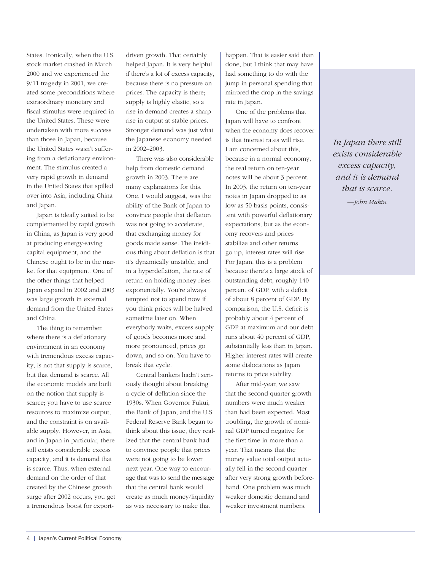States. Ironically, when the U.S. stock market crashed in March 2000 and we experienced the 9/11 tragedy in 2001, we created some preconditions where extraordinary monetary and fiscal stimulus were required in the United States. These were undertaken with more success than those in Japan, because the United States wasn't suffering from a deflationary environment. The stimulus created a very rapid growth in demand in the United States that spilled over into Asia, including China and Japan.

Japan is ideally suited to be complemented by rapid growth in China, as Japan is very good at producing energy-saving capital equipment, and the Chinese ought to be in the market for that equipment. One of the other things that helped Japan expand in 2002 and 2003 was large growth in external demand from the United States and China.

The thing to remember, where there is a deflationary environment in an economy with tremendous excess capacity, is not that supply is scarce, but that demand is scarce. All the economic models are built on the notion that supply is scarce; you have to use scarce resources to maximize output, and the constraint is on available supply. However, in Asia, and in Japan in particular, there still exists considerable excess capacity, and it is demand that is scarce. Thus, when external demand on the order of that created by the Chinese growth surge after 2002 occurs, you get a tremendous boost for exportdriven growth. That certainly helped Japan. It is very helpful if there's a lot of excess capacity, because there is no pressure on prices. The capacity is there; supply is highly elastic, so a rise in demand creates a sharp rise in output at stable prices. Stronger demand was just what the Japanese economy needed in 2002–2003.

There was also considerable help from domestic demand growth in 2003. There are many explanations for this. One, I would suggest, was the ability of the Bank of Japan to convince people that deflation was not going to accelerate, that exchanging money for goods made sense. The insidious thing about deflation is that it's dynamically unstable, and in a hyperdeflation, the rate of return on holding money rises exponentially. You're always tempted not to spend now if you think prices will be halved sometime later on. When everybody waits, excess supply of goods becomes more and more pronounced, prices go down, and so on. You have to break that cycle.

Central bankers hadn't seriously thought about breaking a cycle of deflation since the 1930s. When Governor Fukui, the Bank of Japan, and the U.S. Federal Reserve Bank began to think about this issue, they realized that the central bank had to convince people that prices were not going to be lower next year. One way to encourage that was to send the message that the central bank would create as much money/liquidity as was necessary to make that

happen. That is easier said than done, but I think that may have had something to do with the jump in personal spending that mirrored the drop in the savings rate in Japan.

One of the problems that Japan will have to confront when the economy does recover is that interest rates will rise. I am concerned about this, because in a normal economy, the real return on ten-year notes will be about 3 percent. In 2003, the return on ten-year notes in Japan dropped to as low as 50 basis points, consistent with powerful deflationary expectations, but as the economy recovers and prices stabilize and other returns go up, interest rates will rise. For Japan, this is a problem because there's a large stock of outstanding debt, roughly 140 percent of GDP, with a deficit of about 8 percent of GDP. By comparison, the U.S. deficit is probably about 4 percent of GDP at maximum and our debt runs about 40 percent of GDP, substantially less than in Japan. Higher interest rates will create some dislocations as Japan returns to price stability.

After mid-year, we saw that the second quarter growth numbers were much weaker than had been expected. Most troubling, the growth of nominal GDP turned negative for the first time in more than a year. That means that the money value total output actually fell in the second quarter after very strong growth beforehand. One problem was much weaker domestic demand and weaker investment numbers.

*In Japan there still exists considerable excess capacity, and it is demand that is scarce.*

*—John Makin*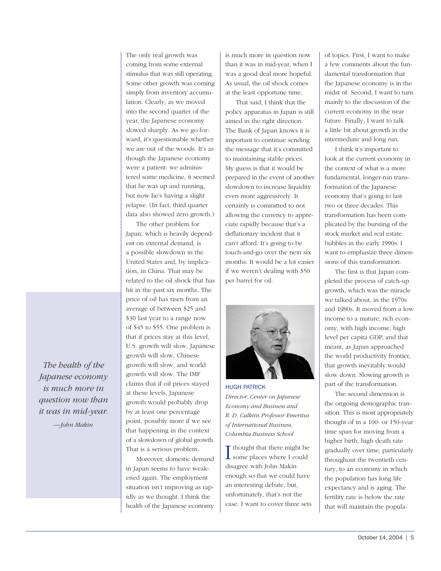The only real growth was coming from some external stimulus that was still operating. Some other growth was coming simply from inventory accumulation. Clearly, as we moved into the second quarter of the year, the Japanese economy slowed sharply. As we go forward, it's questionable whether we are out of the woods. It's as though the Japanese economy were a patient: we administered some medicine, it seemed that he was up and running, but now he's having a slight relapse. (In fact, third quarter data also showed zero growth.)

The other problem for Japan, which is heavily dependent on external demand, is a possible slowdown in the United States and, by implication, in China. That may be related to the oil shock that has hit in the past six months. The price of oil has risen from an average of between \$25 and \$30 last year to a range now of \$45 to \$55. One problem is that if prices stay at this level, U.S. growth will slow, Japanese growth will slow, Chinese growth will slow, and world growth will slow. The IMF claims that if oil prices stayed at these levels, Japanese growth would probably drop by at least one percentage point, possibly more if we see that happening in the context of a slowdown of global growth. That is a serious problem.

Moreover, domestic demand in Japan seems to have weakened again. The employment situation isn't improving as rapidly as we thought. I think the health of the Japanese economy

is much more in question now than it was in mid-year, when I was a good deal more hopeful. As usual, the oil shock comes at the least opportune time.

That said, I think that the policy apparatus in Japan is still aimed in the right direction. The Bank of Japan knows it is important to continue sending the message that it's committed to maintaining stable prices. My guess is that it would be prepared in the event of another slowdown to increase liquidity even more aggressively. It certainly is committed to not allowing the currency to appreciate rapidly because that's a deflationary incident that it can't afford. It's going to be touch-and-go over the next six months. It would be a lot easier if we weren't dealing with \$50 per barrel for oil.



HUGH PATRICK *Director, Center on Japanese Economy and Business and R. D. Calkins Professor Emeritus of International Business, Columbia Business School* 

I thought that there might be some places where I could some places where I could disagree with John Makin enough so that we could have an interesting debate, but, unfortunately, that's not the case. I want to cover three sets of topics. First, I want to make a few comments about the fundamental transformation that the Japanese economy is in the midst of. Second, I want to turn mainly to the discussion of the current economy in the near future. Finally, I want to talk a little bit about growth in the intermediate and long run.

I think it's important to look at the current economy in the context of what is a more fundamental, longer-run transformation of the Japanese economy that's going to last two or three decades. This transformation has been complicated by the bursting of the stock market and real estate bubbles in the early 1990s. I want to emphasize three dimensions of this transformation.

The first is that Japan completed the process of catch-up growth, which was the miracle we talked about, in the 1970s and 1980s. It moved from a low income to a mature, rich economy, with high income, high level per capita GDP, and that meant, as Japan approached the world productivity frontier, that growth inevitably would slow down. Slowing growth is part of the transformation.

The second dimension is the ongoing demographic transition. This is most appropriately thought of in a 100- or 150-year time span for moving from a higher birth, high death rate gradually over time, particularly throughout the twentieth century, to an economy in which the population has long life expectancy and is aging. The fertility rate is below the rate that will maintain the popula-

*The health of the Japanese economy is much more in question now than it was in mid-year.*

*—John Makin*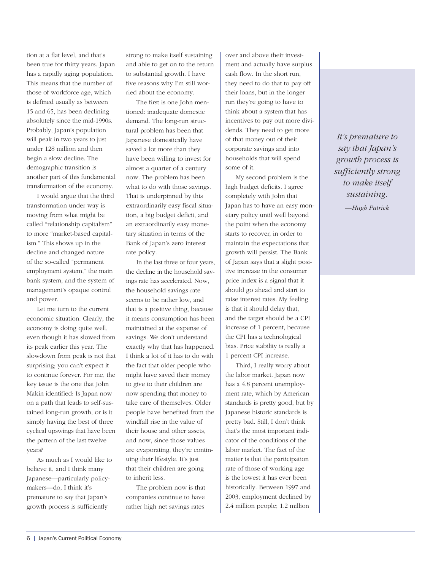tion at a flat level, and that's been true for thirty years. Japan has a rapidly aging population. This means that the number of those of workforce age, which is defined usually as between 15 and 65, has been declining absolutely since the mid-1990s. Probably, Japan's population will peak in two years to just under 128 million and then begin a slow decline. The demographic transition is another part of this fundamental transformation of the economy.

I would argue that the third transformation under way is moving from what might be called "relationship capitalism" to more "market-based capitalism." This shows up in the decline and changed nature of the so-called "permanent employment system," the main bank system, and the system of management's opaque control and power.

Let me turn to the current economic situation. Clearly, the economy is doing quite well, even though it has slowed from its peak earlier this year. The slowdown from peak is not that surprising; you can't expect it to continue forever. For me, the key issue is the one that John Makin identified: Is Japan now on a path that leads to self-sustained long-run growth, or is it simply having the best of three cyclical upswings that have been the pattern of the last twelve years?

As much as I would like to believe it, and I think many Japanese—particularly policymakers—do, I think it's premature to say that Japan's growth process is sufficiently

strong to make itself sustaining and able to get on to the return to substantial growth. I have five reasons why I'm still worried about the economy.

The first is one John mentioned: inadequate domestic demand. The long-run structural problem has been that Japanese domestically have saved a lot more than they have been willing to invest for almost a quarter of a century now. The problem has been what to do with those savings. That is underpinned by this extraordinarily easy fiscal situation, a big budget deficit, and an extraordinarily easy monetary situation in terms of the Bank of Japan's zero interest rate policy.

In the last three or four years, the decline in the household savings rate has accelerated. Now, the household savings rate seems to be rather low, and that is a positive thing, because it means consumption has been maintained at the expense of savings. We don't understand exactly why that has happened. I think a lot of it has to do with the fact that older people who might have saved their money to give to their children are now spending that money to take care of themselves. Older people have benefited from the windfall rise in the value of their house and other assets, and now, since those values are evaporating, they're continuing their lifestyle. It's just that their children are going to inherit less.

The problem now is that companies continue to have rather high net savings rates over and above their investment and actually have surplus cash flow. In the short run, they need to do that to pay off their loans, but in the longer run they're going to have to think about a system that has incentives to pay out more dividends. They need to get more of that money out of their corporate savings and into households that will spend some of it.

My second problem is the high budget deficits. I agree completely with John that Japan has to have an easy monetary policy until well beyond the point when the economy starts to recover, in order to maintain the expectations that growth will persist. The Bank of Japan says that a slight positive increase in the consumer price index is a signal that it should go ahead and start to raise interest rates. My feeling is that it should delay that, and the target should be a CPI increase of 1 percent, because the CPI has a technological bias. Price stability is really a 1 percent CPI increase.

Third, I really worry about the labor market. Japan now has a 4.8 percent unemployment rate, which by American standards is pretty good, but by Japanese historic standards is pretty bad. Still, I don't think that's the most important indicator of the conditions of the labor market. The fact of the matter is that the participation rate of those of working age is the lowest it has ever been historically. Between 1997 and 2003, employment declined by 2.4 million people; 1.2 million

*It's premature to say that Japan's growth process is sufficiently strong to make itself sustaining. —Hugh Patrick*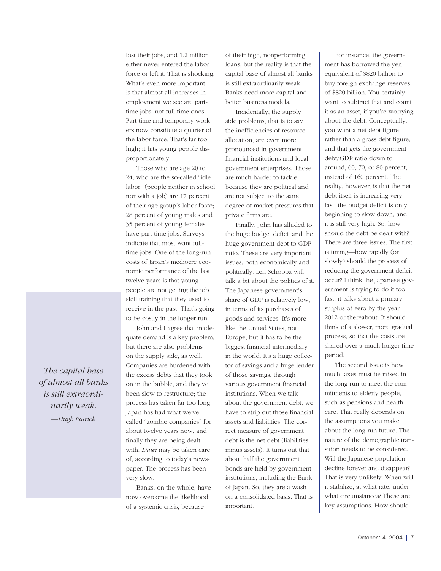lost their jobs, and 1.2 million either never entered the labor force or left it. That is shocking. What's even more important is that almost all increases in employment we see are parttime jobs, not full-time ones. Part-time and temporary workers now constitute a quarter of the labor force. That's far too high; it hits young people disproportionately.

Those who are age 20 to 24, who are the so-called "idle labor" (people neither in school nor with a job) are 17 percent of their age group's labor force; 28 percent of young males and 35 percent of young females have part-time jobs. Surveys indicate that most want fulltime jobs. One of the long-run costs of Japan's mediocre economic performance of the last twelve years is that young people are not getting the job skill training that they used to receive in the past. That's going to be costly in the longer run.

John and I agree that inadequate demand is a key problem, but there are also problems on the supply side, as well. Companies are burdened with the excess debts that they took on in the bubble, and they've been slow to restructure; the process has taken far too long. Japan has had what we've called "zombie companies" for about twelve years now, and finally they are being dealt with. *Daiei* may be taken care of, according to today's newspaper. The process has been very slow.

Banks, on the whole, have now overcome the likelihood of a systemic crisis, because

of their high, nonperforming loans, but the reality is that the capital base of almost all banks is still extraordinarily weak. Banks need more capital and better business models.

Incidentally, the supply side problems, that is to say the inefficiencies of resource allocation, are even more pronounced in government financial institutions and local government enterprises. Those are much harder to tackle, because they are political and are not subject to the same degree of market pressures that private firms are.

Finally, John has alluded to the huge budget deficit and the huge government debt to GDP ratio. These are very important issues, both economically and politically. Len Schoppa will talk a bit about the politics of it. The Japanese government's share of GDP is relatively low, in terms of its purchases of goods and services. It's more like the United States, not Europe, but it has to be the biggest financial intermediary in the world. It's a huge collector of savings and a huge lender of those savings, through various government financial institutions. When we talk about the government debt, we have to strip out those financial assets and liabilities. The correct measure of government debt is the net debt (liabilities minus assets). It turns out that about half the government bonds are held by government institutions, including the Bank of Japan. So, they are a wash on a consolidated basis. That is important.

For instance, the government has borrowed the yen equivalent of \$820 billion to buy foreign exchange reserves of \$820 billion. You certainly want to subtract that and count it as an asset, if you're worrying about the debt. Conceptually, you want a net debt figure rather than a gross debt figure, and that gets the government debt/GDP ratio down to around, 60, 70, or 80 percent, instead of 160 percent. The reality, however, is that the net debt itself is increasing very fast, the budget deficit is only beginning to slow down, and it is still very high. So, how should the debt be dealt with? There are three issues. The first is timing—how rapidly (or slowly) should the process of reducing the government deficit occur? I think the Japanese government is trying to do it too fast; it talks about a primary surplus of zero by the year 2012 or thereabout. It should think of a slower, more gradual process, so that the costs are shared over a much longer time period.

The second issue is how much taxes must be raised in the long run to meet the commitments to elderly people, such as pensions and health care. That really depends on the assumptions you make about the long-run future. The nature of the demographic transition needs to be considered. Will the Japanese population decline forever and disappear? That is very unlikely. When will it stabilize, at what rate, under what circumstances? These are key assumptions. How should

*The capital base of almost all banks is still extraordinarily weak. —Hugh Patrick*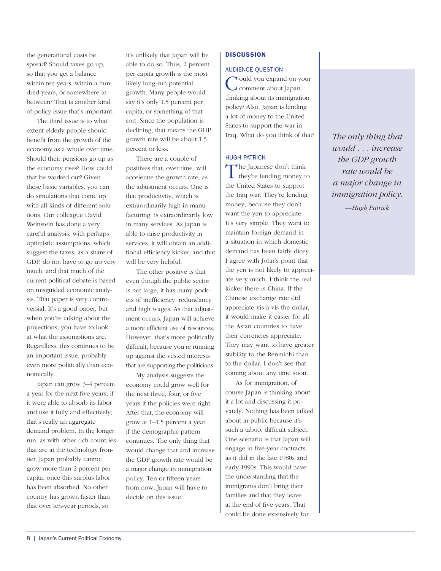the generational costs be spread? Should taxes go up, so that you get a balance within ten years, within a hundred years, or somewhere in between? That is another kind of policy issue that's important.

The third issue is to what extent elderly people should benefit from the growth of the economy as a whole over time. Should their pensions go up as the economy rises? How could that be worked out? Given these basic variables, you can do simulations that come up with all kinds of different solutions. Our colleague David Weinstein has done a very careful analysis, with perhaps optimistic assumptions, which suggest the taxes, as a share of GDP, do not have to go up very much, and that much of the current political debate is based on misguided economic analysis. That paper is very controversial. It's a good paper, but when you're talking about the projections, you have to look at what the assumptions are. Regardless, this continues to be an important issue, probably even more politically than economically.

Japan can grow 3–4 percent a year for the next five years, if it were able to absorb its labor and use it fully and effectively; that's really an aggregate demand problem. In the longer run, as with other rich countries that are at the technology frontier, Japan probably cannot grow more than 2 percent per capita, once this surplus labor has been absorbed. No other country has grown faster than that over ten-year periods, so

it's unlikely that Japan will be able to do so. Thus, 2 percent per capita growth is the most likely long-run potential growth. Many people would say it's only 1.5 percent per capita, or something of that sort. Since the population is declining, that means the GDP growth rate will be about 1.5 percent or less.

There are a couple of positives that, over time, will accelerate the growth rate, as the adjustment occurs. One is that productivity, which is extraordinarily high in manufacturing, is extraordinarily low in many services. As Japan is able to raise productivity in services, it will obtain an additional efficiency kicker, and that will be very helpful.

The other positive is that even though the public sector is not large, it has many pockets of inefficiency: redundancy and high wages. As that adjustment occurs, Japan will achieve a more efficient use of resources. However, that's more politically difficult, because you're running up against the vested interests that are supporting the politicians.

My analysis suggests the economy could grow well for the next three, four, or five years if the policies were right. After that, the economy will grow at 1–1.5 percent a year, if the demographic pattern continues. The only thing that would change that and increase the GDP growth rate would be a major change in immigration policy. Ten or fifteen years from now, Japan will have to decide on this issue.

## **DISCUSSION**

#### AUDIENCE QUESTION

ould you expand on your comment about Japan thinking about its immigration policy? Also, Japan is lending a lot of money to the United States to support the war in Iraq. What do you think of that?

# HUGH PATRICK

The Japanese don't think<br>they're lending money to the United States to support the Iraq war. They're lending money, because they don't want the yen to appreciate. It's very simple. They want to maintain foreign demand in a situation in which domestic demand has been fairly dicey. I agree with John's point that the yen is not likely to appreciate very much. I think the real kicker there is China. If the Chinese exchange rate did appreciate vis-à-vis the dollar, it would make it easier for all the Asian countries to have their currencies appreciate. They may want to have greater stability to the Renminbi than to the dollar. I don't see that coming about any time soon.

As for immigration, of course Japan is thinking about it a lot and discussing it privately. Nothing has been talked about in public because it's such a taboo, difficult subject. One scenario is that Japan will engage in five-year contracts, as it did in the late 1980s and early 1990s. This would have the understanding that the immigrants don't bring their families and that they leave at the end of five years. That could be done extensively for

*The only thing that would . . . increase the GDP growth rate would be a major change in immigration policy.*

*—Hugh Patrick*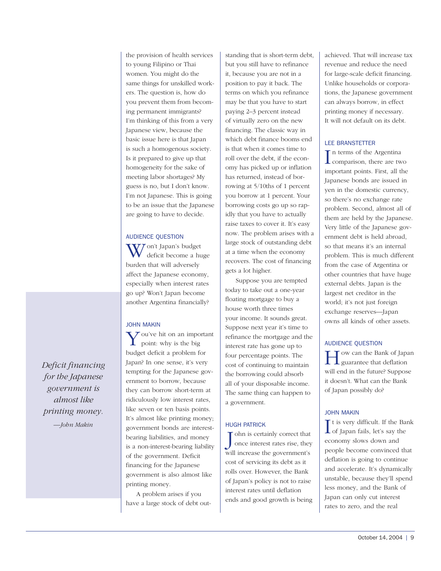the provision of health services to young Filipino or Thai women. You might do the same things for unskilled workers. The question is, how do you prevent them from becoming permanent immigrants? I'm thinking of this from a very Japanese view, because the basic issue here is that Japan is such a homogenous society. Is it prepared to give up that homogeneity for the sake of meeting labor shortages? My guess is no, but I don't know. I'm not Japanese. This is going to be an issue that the Japanese are going to have to decide.

# AUDIENCE QUESTION

VJ on't Japan's budget deficit become a huge burden that will adversely affect the Japanese economy, especially when interest rates go up? Won't Japan become another Argentina financially?

# JOHN MAKIN

You've hit on an important point: why is the big budget deficit a problem for Japan? In one sense, it's very tempting for the Japanese government to borrow, because they can borrow short-term at ridiculously low interest rates, like seven or ten basis points. It's almost like printing money; government bonds are interestbearing liabilities, and money is a non-interest-bearing liability of the government. Deficit financing for the Japanese government is also almost like printing money.

A problem arises if you have a large stock of debt outstanding that is short-term debt, but you still have to refinance it, because you are not in a position to pay it back. The terms on which you refinance may be that you have to start paying 2–3 percent instead of virtually zero on the new financing. The classic way in which debt finance booms end is that when it comes time to roll over the debt, if the economy has picked up or inflation has returned, instead of borrowing at 5/10ths of 1 percent you borrow at 1 percent. Your borrowing costs go up so rapidly that you have to actually raise taxes to cover it. It's easy now. The problem arises with a large stock of outstanding debt at a time when the economy recovers. The cost of financing gets a lot higher.

Suppose you are tempted today to take out a one-year floating mortgage to buy a house worth three times your income. It sounds great. Suppose next year it's time to refinance the mortgage and the interest rate has gone up to four percentage points. The cost of continuing to maintain the borrowing could absorb all of your disposable income. The same thing can happen to a government.

# HUGH PATRICK

J ohn is certainly correct that<br>once interest rates rise, the<br>will increase the government's ohn is certainly correct that once interest rates rise, they cost of servicing its debt as it rolls over. However, the Bank of Japan's policy is not to raise interest rates until deflation ends and good growth is being achieved. That will increase tax revenue and reduce the need for large-scale deficit financing. Unlike households or corporations, the Japanese government can always borrow, in effect printing money if necessary. It will not default on its debt.

# LEE BRANSTETTER

 $\prod$ n terms of the Argentina<br>comparison, there are two n terms of the Argentina important points. First, all the Japanese bonds are issued in yen in the domestic currency, so there's no exchange rate problem. Second, almost all of them are held by the Japanese. Very little of the Japanese government debt is held abroad, so that means it's an internal problem. This is much different from the case of Argentina or other countries that have huge external debts. Japan is the largest net creditor in the world; it's not just foreign exchange reserves—Japan owns all kinds of other assets.

# AUDIENCE QUESTION

T ow can the Bank of Japan  $\perp$  guarantee that deflation will end in the future? Suppose it doesn't. What can the Bank of Japan possibly do?

## JOHN MAKIN

I t is very difficult. If the Bank L of Japan fails, let's say the economy slows down and people become convinced that deflation is going to continue and accelerate. It's dynamically unstable, because they'll spend less money, and the Bank of Japan can only cut interest rates to zero, and the real

*Deficit financing for the Japanese government is almost like printing money. —John Makin*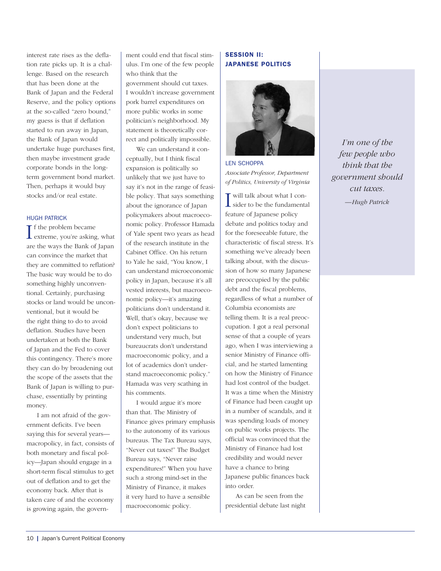interest rate rises as the deflation rate picks up. It is a challenge. Based on the research that has been done at the Bank of Japan and the Federal Reserve, and the policy options at the so-called "zero bound," my guess is that if deflation started to run away in Japan, the Bank of Japan would undertake huge purchases first, then maybe investment grade corporate bonds in the longterm government bond market. Then, perhaps it would buy stocks and/or real estate.

## HUGH PATRICK

If the problem became<br>extreme, you're asking, what **T** f the problem became are the ways the Bank of Japan can convince the market that they are committed to reflation? The basic way would be to do something highly unconventional. Certainly, purchasing stocks or land would be unconventional, but it would be the right thing to do to avoid deflation. Studies have been undertaken at both the Bank of Japan and the Fed to cover this contingency. There's more they can do by broadening out the scope of the assets that the Bank of Japan is willing to purchase, essentially by printing money.

I am not afraid of the government deficits. I've been saying this for several years macropolicy, in fact, consists of both monetary and fiscal policy—Japan should engage in a short-term fiscal stimulus to get out of deflation and to get the economy back. After that is taken care of and the economy is growing again, the government could end that fiscal stimulus. I'm one of the few people who think that the government should cut taxes. I wouldn't increase government pork barrel expenditures on more public works in some politician's neighborhood. My statement is theoretically correct and politically impossible.

We can understand it conceptually, but I think fiscal expansion is politically so unlikely that we just have to say it's not in the range of feasible policy. That says something about the ignorance of Japan policymakers about macroeconomic policy. Professor Hamada of Yale spent two years as head of the research institute in the Cabinet Office. On his return to Yale he said, "You know, I can understand microeconomic policy in Japan, because it's all vested interests, but macroeconomic policy—it's amazing politicians don't understand it. Well, that's okay, because we don't expect politicians to understand very much, but bureaucrats don't understand macroeconomic policy, and a lot of academics don't understand macroeconomic policy." Hamada was very scathing in his comments.

I would argue it's more than that. The Ministry of Finance gives primary emphasis to the autonomy of its various bureaus. The Tax Bureau says, "Never cut taxes!" The Budget Bureau says, "Never raise expenditures!" When you have such a strong mind-set in the Ministry of Finance, it makes it very hard to have a sensible macroeconomic policy.

# SESSION II: JAPANESE POLITICS



LEN SCHOPPA *Associate Professor, Department of Politics, University of Virginia*

**I** will talk about what I consider to be the fundamental sider to be the fundamental feature of Japanese policy debate and politics today and for the foreseeable future, the characteristic of fiscal stress. It's something we've already been talking about, with the discussion of how so many Japanese are preoccupied by the public debt and the fiscal problems, regardless of what a number of Columbia economists are telling them. It is a real preoccupation. I got a real personal sense of that a couple of years ago, when I was interviewing a senior Ministry of Finance official, and he started lamenting on how the Ministry of Finance had lost control of the budget. It was a time when the Ministry of Finance had been caught up in a number of scandals, and it was spending loads of money on public works projects. The official was convinced that the Ministry of Finance had lost credibility and would never have a chance to bring Japanese public finances back into order.

As can be seen from the presidential debate last night

*I'm one of the few people who think that the government should cut taxes. —Hugh Patrick*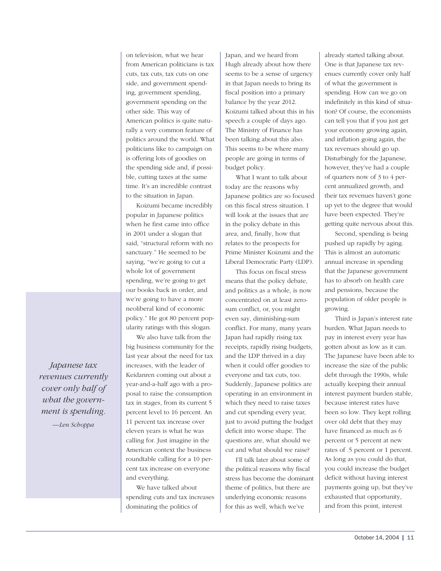on television, what we hear from American politicians is tax cuts, tax cuts, tax cuts on one side, and government spending, government spending, government spending on the other side. This way of American politics is quite naturally a very common feature of politics around the world. What politicians like to campaign on is offering lots of goodies on the spending side and, if possible, cutting taxes at the same time. It's an incredible contrast to the situation in Japan.

Koizumi became incredibly popular in Japanese politics when he first came into office in 2001 under a slogan that said, "structural reform with no sanctuary." He seemed to be saying, "we're going to cut a whole lot of government spending, we're going to get our books back in order, and we're going to have a more neoliberal kind of economic policy." He got 80 percent popularity ratings with this slogan.

We also have talk from the big business community for the last year about the need for tax increases, with the leader of Keidanren coming out about a year-and-a-half ago with a proposal to raise the consumption tax in stages, from its current 5 percent level to 16 percent. An 11 percent tax increase over eleven years is what he was calling for. Just imagine in the American context the business roundtable calling for a 10 percent tax increase on everyone and everything.

We have talked about spending cuts and tax increases dominating the politics of

Japan, and we heard from Hugh already about how there seems to be a sense of urgency in that Japan needs to bring its fiscal position into a primary balance by the year 2012. Koizumi talked about this in his speech a couple of days ago. The Ministry of Finance has been talking about this also. This seems to be where many people are going in terms of budget policy.

What I want to talk about today are the reasons why Japanese politics are so focused on this fiscal stress situation. I will look at the issues that are in the policy debate in this area, and, finally, how that relates to the prospects for Prime Minister Koizumi and the Liberal Democratic Party (LDP).

This focus on fiscal stress means that the policy debate, and politics as a whole, is now concentrated on at least zerosum conflict, or, you might even say, diminishing-sum conflict. For many, many years Japan had rapidly rising tax receipts, rapidly rising budgets, and the LDP thrived in a day when it could offer goodies to everyone and tax cuts, too. Suddenly, Japanese politics are operating in an environment in which they need to raise taxes and cut spending every year, just to avoid putting the budget deficit into worse shape. The questions are, what should we cut and what should we raise?

I'll talk later about some of the political reasons why fiscal stress has become the dominant theme of politics, but there are underlying economic reasons for this as well, which we've

already started talking about. One is that Japanese tax revenues currently cover only half of what the government is spending. How can we go on indefinitely in this kind of situation? Of course, the economists can tell you that if you just get your economy growing again, and inflation going again, the tax revenues should go up. Disturbingly for the Japanese, however, they've had a couple of quarters now of 3 to 4 percent annualized growth, and their tax revenues haven't gone up yet to the degree that would have been expected. They're getting quite nervous about this.

Second, spending is being pushed up rapidly by aging. This is almost an automatic annual increase in spending that the Japanese government has to absorb on health care and pensions, because the population of older people is growing.

Third is Japan's interest rate burden. What Japan needs to pay in interest every year has gotten about as low as it can. The Japanese have been able to increase the size of the public debt through the 1990s, while actually keeping their annual interest payment burden stable, because interest rates have been so low. They kept rolling over old debt that they may have financed as much as 6 percent or 5 percent at new rates of .5 percent or 1 percent. As long as you could do that, you could increase the budget deficit without having interest payments going up, but they've exhausted that opportunity, and from this point, interest

*Japanese tax revenues currently cover only half of what the government is spending.*

*—Len Schoppa*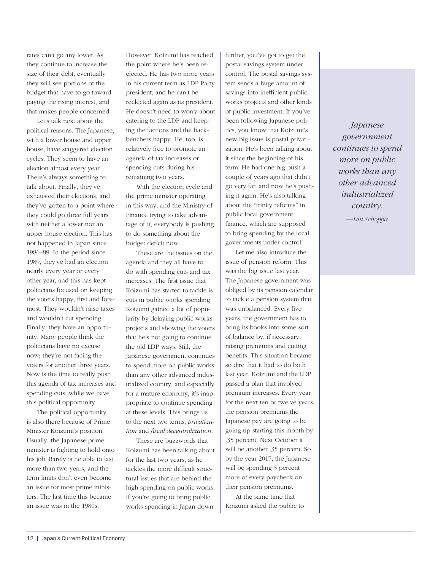rates can't go any lower. As they continue to increase the size of their debt, eventually they will see portions of the budget that have to go toward paying the rising interest, and that makes people concerned.

Let's talk next about the political reasons. The Japanese, with a lower house and upper house, have staggered election cycles. They seem to have an election almost every year. There's always something to talk about. Finally, they've exhausted their elections, and they've gotten to a point where they could go three full years with neither a lower nor an upper house election. This has not happened in Japan since 1986–89. In the period since 1989, they've had an election nearly every year or every other year, and this has kept politicians focused on keeping the voters happy, first and foremost. They wouldn't raise taxes and wouldn't cut spending. Finally, they have an opportunity. Many people think the politicians have no excuse now; they're not facing the voters for another three years. Now is the time to really push this agenda of tax increases and spending cuts, while we have this political opportunity.

The political opportunity is also there because of Prime Minister Koizumi's position. Usually, the Japanese prime minister is fighting to hold onto his job. Rarely is he able to last more than two years, and the term limits don't even become an issue for most prime ministers. The last time this became an issue was in the 1980s.

However, Koizumi has reached the point where he's been reelected. He has two more years in his current term as LDP Party president, and he can't be reelected again as its president. He doesn't need to worry about catering to the LDP and keeping the factions and the backbenchers happy. He, too, is relatively free to promote an agenda of tax increases or spending cuts during his remaining two years.

With the election cycle and the prime minister operating in this way, and the Ministry of Finance trying to take advantage of it, everybody is pushing to do something about the budget deficit now.

These are the issues on the agenda and they all have to do with spending cuts and tax increases. The first issue that Koizumi has started to tackle is cuts in public works spending. Koizumi gained a lot of popularity by delaying public works projects and showing the voters that he's not going to continue the old LDP ways. Still, the Japanese government continues to spend more on public works than any other advanced industrialized country, and especially for a mature economy, it's inappropriate to continue spending at these levels. This brings us to the next two terms, *privatization* and *fiscal decentralization.*

These are buzzwords that Koizumi has been talking about for the last two years, as he tackles the more difficult structural issues that are behind the high spending on public works. If you're going to bring public works spending in Japan down

further, you've got to get the postal savings system under control. The postal savings system sends a huge amount of savings into inefficient public works projects and other kinds of public investment. If you've been following Japanese politics, you know that Koizumi's new big issue is postal privatization. He's been talking about it since the beginning of his term. He had one big push a couple of years ago that didn't go very far, and now he's pushing it again. He's also talking about the "trinity reforms" in public local government finance, which are supposed to bring spending by the local governments under control.

Let me also introduce the issue of pension reform. This was the big issue last year. The Japanese government was obliged by its pension calendar to tackle a pension system that was unbalanced. Every five years, the government has to bring its books into some sort of balance by, if necessary, raising premiums and cutting benefits. This situation became so dire that it had to do both last year. Koizumi and the LDP passed a plan that involved premium increases. Every year for the next ten or twelve years, the pension premiums the Japanese pay are going to be going up starting this month by .35 percent. Next October it will be another .35 percent. So by the year 2017, the Japanese will be spending 5 percent more of every paycheck on their pension premiums.

At the same time that Koizumi asked the public to

*Japanese governnment continues to spend more on public works than any other advanced industrialized country. —Len Schoppa*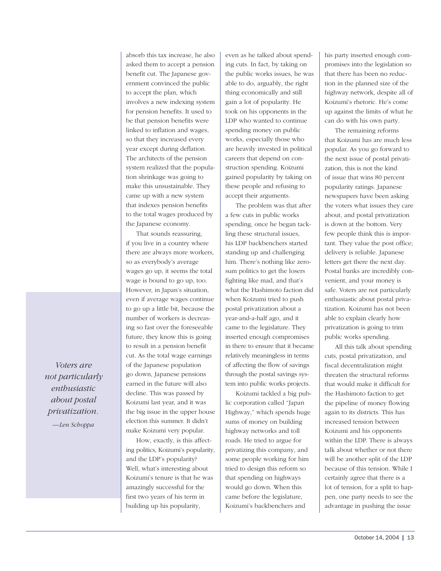absorb this tax increase, he also asked them to accept a pension benefit cut. The Japanese government convinced the public to accept the plan, which involves a new indexing system for pension benefits. It used to be that pension benefits were linked to inflation and wages, so that they increased every year except during deflation. The architects of the pension system realized that the population shrinkage was going to make this unsustainable. They came up with a new system that indexes pension benefits to the total wages produced by the Japanese economy.

That sounds reassuring, if you live in a country where there are always more workers, so as everybody's average wages go up, it seems the total wage is bound to go up, too. However, in Japan's situation, even if average wages continue to go up a little bit, because the number of workers is decreasing so fast over the foreseeable future, they know this is going to result in a pension benefit cut. As the total wage earnings of the Japanese population go down, Japanese pensions earned in the future will also decline. This was passed by Koizumi last year, and it was the big issue in the upper house election this summer. It didn't make Koizumi very popular.

How, exactly, is this affecting politics, Koizumi's popularity, and the LDP's popularity? Well, what's interesting about Koizumi's tenure is that he was amazingly successful for the first two years of his term in building up his popularity,

even as he talked about spending cuts. In fact, by taking on the public works issues, he was able to do, arguably, the right thing economically and still gain a lot of popularity. He took on his opponents in the LDP who wanted to continue spending money on public works, especially those who are heavily invested in political careers that depend on construction spending. Koizumi gained popularity by taking on these people and refusing to accept their arguments.

The problem was that after a few cuts in public works spending, once he began tackling these structural issues, his LDP backbenchers started standing up and challenging him. There's nothing like zerosum politics to get the losers fighting like mad, and that's what the Hashimoto faction did when Koizumi tried to push postal privatization about a year-and-a-half ago, and it came to the legislature. They inserted enough compromises in there to ensure that it became relatively meaningless in terms of affecting the flow of savings through the postal savings system into public works projects.

Koizumi tackled a big public corporation called "Japan Highway," which spends huge sums of money on building highway networks and toll roads. He tried to argue for privatizing this company, and some people working for him tried to design this reform so that spending on highways would go down. When this came before the legislature, Koizumi's backbenchers and

his party inserted enough compromises into the legislation so that there has been no reduction in the planned size of the highway network, despite all of Koizumi's rhetoric. He's come up against the limits of what he can do with his own party.

The remaining reforms that Koizumi has are much less popular. As you go forward to the next issue of postal privatization, this is not the kind of issue that wins 80 percent popularity ratings. Japanese newspapers have been asking the voters what issues they care about, and postal privatization is down at the bottom. Very few people think this is important. They value the post office; delivery is reliable. Japanese letters get there the next day. Postal banks are incredibly convenient, and your money is safe. Voters are not particularly enthusiastic about postal privatization. Koizumi has not been able to explain clearly how privatization is going to trim public works spending.

All this talk about spending cuts, postal privatization, and fiscal decentralization might threaten the structural reforms that would make it difficult for the Hashimoto faction to get the pipeline of money flowing again to its districts. This has increased tension between Koizumi and his opponents within the LDP. There is always talk about whether or not there will be another split of the LDP because of this tension. While I certainly agree that there is a lot of tension, for a split to happen, one party needs to see the advantage in pushing the issue

*Voters are not particularly enthusiastic about postal privatization. —Len Schoppa*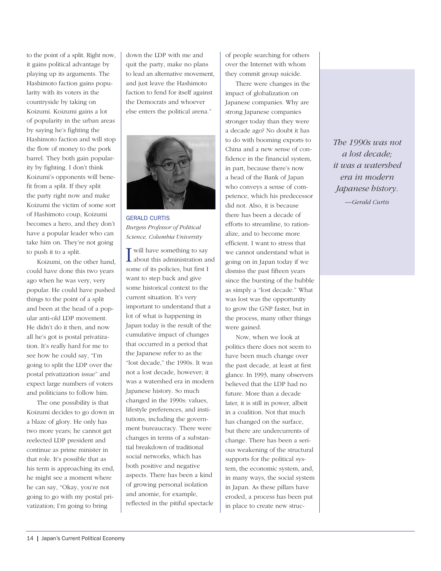to the point of a split. Right now, it gains political advantage by playing up its arguments. The Hashimoto faction gains popularity with its voters in the countryside by taking on Koizumi. Koizumi gains a lot of popularity in the urban areas by saying he's fighting the Hashimoto faction and will stop the flow of money to the pork barrel. They both gain popularity by fighting. I don't think Koizumi's opponents will benefit from a split. If they split the party right now and make Koizumi the victim of some sort of Hashimoto coup, Koizumi becomes a hero, and they don't have a popular leader who can take him on. They're not going to push it to a split.

Koizumi, on the other hand, could have done this two years ago when he was very, very popular. He could have pushed things to the point of a split and been at the head of a popular anti-old LDP movement. He didn't do it then, and now all he's got is postal privatization. It's really hard for me to see how he could say, "I'm going to split the LDP over the postal privatization issue" and expect large numbers of voters and politicians to follow him.

The one possibility is that Koizumi decides to go down in a blaze of glory. He only has two more years; he cannot get reelected LDP president and continue as prime minister in that role. It's possible that as his term is approaching its end, he might see a moment where he can say, "Okay, you're not going to go with my postal privatization; I'm going to bring

down the LDP with me and quit the party, make no plans to lead an alternative movement, and just leave the Hashimoto faction to fend for itself against the Democrats and whoever else enters the political arena."



GERALD CURTIS *Burgess Professor of Political Science, Columbia University*

**I** will have something to say about this administration and will have something to say some of its policies, but first I want to step back and give some historical context to the current situation. It's very important to understand that a lot of what is happening in Japan today is the result of the cumulative impact of changes that occurred in a period that the Japanese refer to as the "lost decade," the 1990s. It was not a lost decade, however; it was a watershed era in modern Japanese history. So much changed in the 1990s: values, lifestyle preferences, and institutions, including the government bureaucracy. There were changes in terms of a substantial breakdown of traditional social networks, which has both positive and negative aspects. There has been a kind of growing personal isolation and anomie, for example, reflected in the pitiful spectacle

of people searching for others over the Internet with whom they commit group suicide.

There were changes in the impact of globalization on Japanese companies. Why are strong Japanese companies stronger today than they were a decade ago? No doubt it has to do with booming exports to China and a new sense of confidence in the financial system, in part, because there's now a head of the Bank of Japan who conveys a sense of competence, which his predecessor did not. Also, it is because there has been a decade of efforts to streamline, to rationalize, and to become more efficient. I want to stress that we cannot understand what is going on in Japan today if we dismiss the past fifteen years since the bursting of the bubble as simply a "lost decade." What was lost was the opportunity to grow the GNP faster, but in the process, many other things were gained.

Now, when we look at politics there does not seem to have been much change over the past decade, at least at first glance. In 1993, many observers believed that the LDP had no future. More than a decade later, it is still in power, albeit in a coalition. Not that much has changed on the surface, but there are undercurrents of change. There has been a serious weakening of the structural supports for the political system, the economic system, and, in many ways, the social system in Japan. As these pillars have eroded, a process has been put in place to create new struc*The 1990s was not a lost decade; it was a watershed era in modern Japanese history. —Gerald Curtis*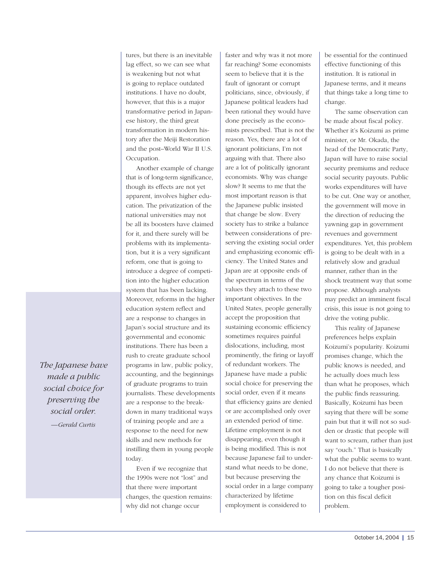tures, but there is an inevitable lag effect, so we can see what is weakening but not what is going to replace outdated institutions. I have no doubt, however, that this is a major transformative period in Japanese history, the third great transformation in modern history after the Meiji Restoration and the post–World War II U.S. Occupation.

Another example of change that is of long-term significance, though its effects are not yet apparent, involves higher education. The privatization of the national universities may not be all its boosters have claimed for it, and there surely will be problems with its implementation, but it is a very significant reform, one that is going to introduce a degree of competition into the higher education system that has been lacking. Moreover, reforms in the higher education system reflect and are a response to changes in Japan's social structure and its governmental and economic institutions. There has been a rush to create graduate school programs in law, public policy, accounting, and the beginnings of graduate programs to train journalists. These developments are a response to the breakdown in many traditional ways of training people and are a response to the need for new skills and new methods for instilling them in young people today.

Even if we recognize that the 1990s were not "lost" and that there were important changes, the question remains: why did not change occur

faster and why was it not more far reaching? Some economists seem to believe that it is the fault of ignorant or corrupt politicians, since, obviously, if Japanese political leaders had been rational they would have done precisely as the economists prescribed. That is not the reason. Yes, there are a lot of ignorant politicians, I'm not arguing with that. There also are a lot of politically ignorant economists. Why was change slow? It seems to me that the most important reason is that the Japanese public insisted that change be slow. Every society has to strike a balance between considerations of preserving the existing social order and emphasizing economic efficiency. The United States and Japan are at opposite ends of the spectrum in terms of the values they attach to these two important objectives. In the United States, people generally accept the proposition that sustaining economic efficiency sometimes requires painful dislocations, including, most prominently, the firing or layoff of redundant workers. The Japanese have made a public social choice for preserving the social order, even if it means that efficiency gains are denied or are accomplished only over an extended period of time. Lifetime employment is not disappearing, even though it is being modified. This is not because Japanese fail to understand what needs to be done, but because preserving the social order in a large company characterized by lifetime employment is considered to

be essential for the continued effective functioning of this institution. It is rational in Japanese terms, and it means that things take a long time to change.

The same observation can be made about fiscal policy. Whether it's Koizumi as prime minister, or Mr. Okada, the head of the Democratic Party, Japan will have to raise social security premiums and reduce social security payouts. Public works expenditures will have to be cut. One way or another, the government will move in the direction of reducing the yawning gap in government revenues and government expenditures. Yet, this problem is going to be dealt with in a relatively slow and gradual manner, rather than in the shock treatment way that some propose. Although analysts may predict an imminent fiscal crisis, this issue is not going to drive the voting public.

This reality of Japanese preferences helps explain Koizumi's popularity. Koizumi promises change, which the public knows is needed, and he actually does much less than what he proposes, which the public finds reassuring. Basically, Koizumi has been saying that there will be some pain but that it will not so sudden or drastic that people will want to scream, rather than just say "ouch." That is basically what the public seems to want. I do not believe that there is any chance that Koizumi is going to take a tougher position on this fiscal deficit problem.

*The Japanese have made a public social choice for preserving the social order. —Gerald Curtis*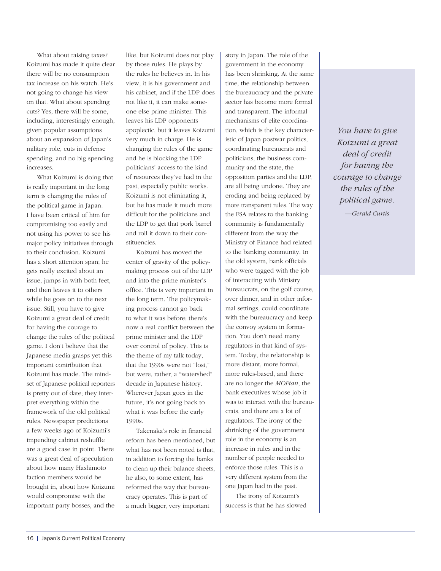What about raising taxes? Koizumi has made it quite clear there will be no consumption tax increase on his watch. He's not going to change his view on that. What about spending cuts? Yes, there will be some, including, interestingly enough, given popular assumptions about an expansion of Japan's military role, cuts in defense spending, and no big spending increases.

What Koizumi is doing that is really important in the long term is changing the rules of the political game in Japan. I have been critical of him for compromising too easily and not using his power to see his major policy initiatives through to their conclusion. Koizumi has a short attention span; he gets really excited about an issue, jumps in with both feet, and then leaves it to others while he goes on to the next issue. Still, you have to give Koizumi a great deal of credit for having the courage to change the rules of the political game. I don't believe that the Japanese media grasps yet this important contribution that Koizumi has made. The mindset of Japanese political reporters is pretty out of date; they interpret everything within the framework of the old political rules. Newspaper predictions a few weeks ago of Koizumi's impending cabinet reshuffle are a good case in point. There was a great deal of speculation about how many Hashimoto faction members would be brought in, about how Koizumi would compromise with the important party bosses, and the

16 | Japan's Current Political Economy

like, but Koizumi does not play by those rules. He plays by the rules he believes in. In his view, it is his government and his cabinet, and if the LDP does not like it, it can make someone else prime minister. This leaves his LDP opponents apoplectic, but it leaves Koizumi very much in charge. He is changing the rules of the game and he is blocking the LDP politicians' access to the kind of resources they've had in the past, especially public works. Koizumi is not eliminating it, but he has made it much more difficult for the politicians and the LDP to get that pork barrel and roll it down to their constituencies.

Koizumi has moved the center of gravity of the policymaking process out of the LDP and into the prime minister's office. This is very important in the long term. The policymaking process cannot go back to what it was before; there's now a real conflict between the prime minister and the LDP over control of policy. This is the theme of my talk today, that the 1990s were not "lost," but were, rather, a "watershed" decade in Japanese history. Wherever Japan goes in the future, it's not going back to what it was before the early 1990s.

Takenaka's role in financial reform has been mentioned, but what has not been noted is that, in addition to forcing the banks to clean up their balance sheets, he also, to some extent, has reformed the way that bureaucracy operates. This is part of a much bigger, very important

story in Japan. The role of the government in the economy has been shrinking. At the same time, the relationship between the bureaucracy and the private sector has become more formal and transparent. The informal mechanisms of elite coordination, which is the key characteristic of Japan postwar politics, coordinating bureaucrats and politicians, the business community and the state, the opposition parties and the LDP, are all being undone. They are eroding and being replaced by more transparent rules. The way the FSA relates to the banking community is fundamentally different from the way the Ministry of Finance had related to the banking community. In the old system, bank officials who were tagged with the job of interacting with Ministry bureaucrats, on the golf course, over dinner, and in other informal settings, could coordinate with the bureaucracy and keep the convoy system in formation. You don't need many regulators in that kind of system. Today, the relationship is more distant, more formal, more rules-based, and there are no longer the *MOFtan*, the bank executives whose job it was to interact with the bureaucrats, and there are a lot of regulators. The irony of the shrinking of the government role in the economy is an increase in rules and in the number of people needed to enforce those rules. This is a very different system from the one Japan had in the past.

The irony of Koizumi's success is that he has slowed

*You have to give Koizumi a great deal of credit for having the courage to change the rules of the political game. —Gerald Curtis*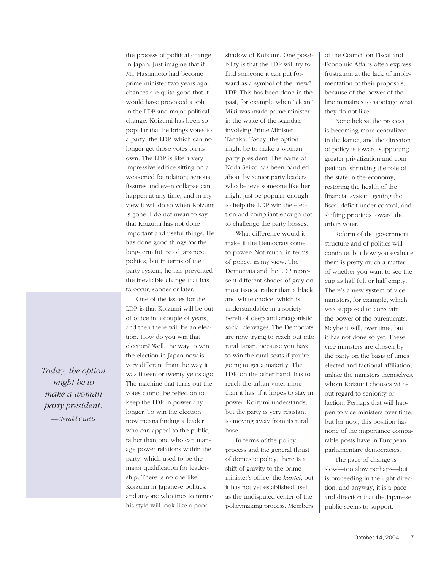*Today, the option might be to make a woman party president. —Gerald Curtis*

in Japan. Just imagine that if Mr. Hashimoto had become prime minister two years ago, chances are quite good that it would have provoked a split in the LDP and major political change. Koizumi has been so popular that he brings votes to a party, the LDP, which can no longer get those votes on its own. The LDP is like a very impressive edifice sitting on a weakened foundation; serious fissures and even collapse can happen at any time, and in my view it will do so when Koizumi is gone. I do not mean to say that Koizumi has not done important and useful things. He has done good things for the long-term future of Japanese politics, but in terms of the party system, he has prevented the inevitable change that has

the process of political change

One of the issues for the LDP is that Koizumi will be out of office in a couple of years, and then there will be an election. How do you win that election? Well, the way to win the election in Japan now is very different from the way it was fifteen or twenty years ago. The machine that turns out the votes cannot be relied on to keep the LDP in power any longer. To win the election now means finding a leader who can appeal to the public, rather than one who can manage power relations within the party, which used to be the major qualification for leadership. There is no one like Koizumi in Japanese politics, and anyone who tries to mimic his style will look like a poor

to occur, sooner or later.

shadow of Koizumi. One possibility is that the LDP will try to find someone it can put forward as a symbol of the "new" LDP. This has been done in the past, for example when "clean" Miki was made prime minister in the wake of the scandals involving Prime Minister Tanaka. Today, the option might be to make a woman party president. The name of Noda Seiko has been bandied about by senior party leaders who believe someone like her might just be popular enough to help the LDP win the election and compliant enough not to challenge the party bosses.

What difference would it make if the Democrats come to power? Not much, in terms of policy, in my view. The Democrats and the LDP represent different shades of gray on most issues, rather than a black and white choice, which is understandable in a society bereft of deep and antagonistic social cleavages. The Democrats are now trying to reach out into rural Japan, because you have to win the rural seats if you're going to get a majority. The LDP, on the other hand, has to reach the urban voter more than it has, if it hopes to stay in power. Koizumi understands, but the party is very resistant to moving away from its rural base.

In terms of the policy process and the general thrust of domestic policy, there is a shift of gravity to the prime minister's office, the *kantei*, but it has not yet established itself as the undisputed center of the policymaking process. Members

of the Council on Fiscal and Economic Affairs often express frustration at the lack of implementation of their proposals, because of the power of the line ministries to sabotage what they do not like.

Nonetheless, the process is becoming more centralized in the kantei, and the direction of policy is toward supporting greater privatization and competition, shrinking the role of the state in the economy, restoring the health of the financial system, getting the fiscal deficit under control, and shifting priorities toward the urban voter.

Reform of the government structure and of politics will continue, but how you evaluate them is pretty much a matter of whether you want to see the cup as half full or half empty. There's a new system of vice ministers, for example, which was supposed to constrain the power of the bureaucrats. Maybe it will, over time, but it has not done so yet. These vice ministers are chosen by the party on the basis of times elected and factional affiliation, unlike the ministers themselves, whom Koizumi chooses without regard to seniority or faction. Perhaps that will happen to vice ministers over time, but for now, this position has none of the importance comparable posts have in European parliamentary democracies.

The pace of change is slow—too slow perhaps—but is proceeding in the right direction, and anyway, it is a pace and direction that the Japanese public seems to support.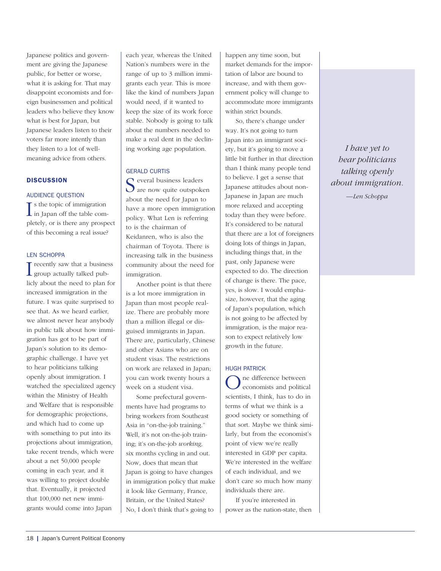Japanese politics and government are giving the Japanese public, for better or worse, what it is asking for. That may disappoint economists and foreign businessmen and political leaders who believe they know what is best for Japan, but Japanese leaders listen to their voters far more intently than they listen to a lot of wellmeaning advice from others.

## **DISCUSSION**

## AUDIENCE QUESTION

If s the topic of immigration<br>in Japan off the table com- $\mathbf{T}$  s the topic of immigration pletely, or is there any prospect of this becoming a real issue?

## LEN SCHOPPA

I recently saw that a business<br>group actually talked pub- $\mathbf{T}$  recently saw that a business licly about the need to plan for increased immigration in the future. I was quite surprised to see that. As we heard earlier, we almost never hear anybody in public talk about how immigration has got to be part of Japan's solution to its demographic challenge. I have yet to hear politicians talking openly about immigration. I watched the specialized agency within the Ministry of Health and Welfare that is responsible for demographic projections, and which had to come up with something to put into its projections about immigration, take recent trends, which were about a net 50,000 people coming in each year, and it was willing to project double that. Eventually, it projected that 100,000 net new immigrants would come into Japan

each year, whereas the United Nation's numbers were in the range of up to 3 million immigrants each year. This is more like the kind of numbers Japan would need, if it wanted to keep the size of its work force stable. Nobody is going to talk about the numbers needed to make a real dent in the declining working age population.

## GERALD CURTIS

S everal business leaders are now quite outspoken about the need for Japan to have a more open immigration policy. What Len is referring to is the chairman of Keidanren, who is also the chairman of Toyota. There is increasing talk in the business community about the need for immigration.

Another point is that there is a lot more immigration in Japan than most people realize. There are probably more than a million illegal or disguised immigrants in Japan. There are, particularly, Chinese and other Asians who are on student visas. The restrictions on work are relaxed in Japan; you can work twenty hours a week on a student visa.

Some prefectural governments have had programs to bring workers from Southeast Asia in "on-the-job training." Well, it's not on-the-job training; it's on-the-job *working,* six months cycling in and out. Now, does that mean that Japan is going to have changes in immigration policy that make it look like Germany, France, Britain, or the United States? No, I don't think that's going to

happen any time soon, but market demands for the importation of labor are bound to increase, and with them government policy will change to accommodate more immigrants within strict bounds.

So, there's change under way. It's not going to turn Japan into an immigrant society, but it's going to move a little bit further in that direction than I think many people tend to believe. I get a sense that Japanese attitudes about non-Japanese in Japan are much more relaxed and accepting today than they were before. It's considered to be natural that there are a lot of foreigners doing lots of things in Japan, including things that, in the past, only Japanese were expected to do. The direction of change is there. The pace, yes, is slow. I would emphasize, however, that the aging of Japan's population, which is not going to be affected by immigration, is the major reason to expect relatively low growth in the future.

## HUGH PATRICK

One difference between economists and political scientists, I think, has to do in terms of what we think is a good society or something of that sort. Maybe we think similarly, but from the economist's point of view we're really interested in GDP per capita. We're interested in the welfare of each individual, and we don't care so much how many individuals there are.

If you're interested in power as the nation-state, then

*I have yet to hear politicians talking openly about immigration.*

*—Len Schoppa*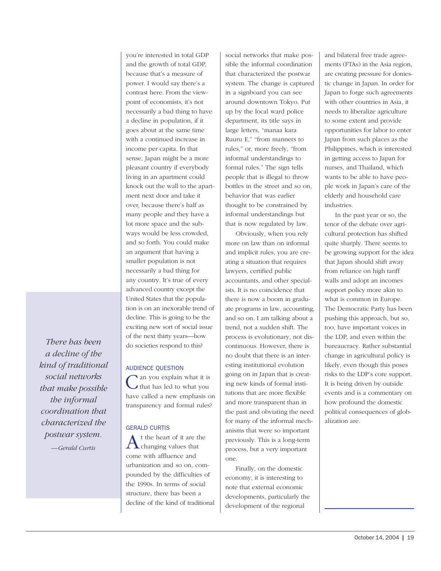*There has been a decline of the kind of traditional social networks that make possible the informal coordination that characterized the postwar system. —Gerald Curtis*

you're interested in total GDP and the growth of total GDP, because that's a measure of power. I would say there's a contrast here. From the viewpoint of economists, it's not necessarily a bad thing to have a decline in population, if it goes about at the same time with a continued increase in income per capita. In that sense, Japan might be a more pleasant country if everybody living in an apartment could knock out the wall to the apartment next door and take it over, because there's half as many people and they have a lot more space and the subways would be less crowded, and so forth. You could make an argument that having a smaller population is not necessarily a bad thing for any country. It's true of every advanced country except the United States that the population is on an inexorable trend of decline. This is going to be the exciting new sort of social issue of the next thirty years—how do societies respond to this?

# AUDIENCE QUESTION

an you explain what it is that has led to what you have called a new emphasis on transparency and formal rules?

# GERALD CURTIS

 $\Lambda$ <sup>t the heart of it are the changing values that</sup> come with affluence and urbanization and so on, compounded by the difficulties of the 1990s. In terms of social structure, there has been a decline of the kind of traditional social networks that make possible the informal coordination that characterized the postwar system. The change is captured in a signboard you can see around downtown Tokyo. Put up by the local ward police department, its title says in large letters, "manaa kara Ruuru E," "from manners to rules," or, more freely, "from informal understandings to formal rules." The sign tells people that is illegal to throw bottles in the street and so on, behavior that was earlier thought to be constrained by informal understandings but that is now regulated by law.

Obviously, when you rely more on law than on informal and implicit rules, you are creating a situation that requires lawyers, certified public accountants, and other specialists. It is no coincidence that there is now a boom in graduate programs in law, accounting, and so on. I am talking about a trend, not a sudden shift. The process is evolutionary, not discontinuous. However, there is no doubt that there is an interesting institutional evolution going on in Japan that is creating new kinds of formal institutions that are more flexible and more transparent than in the past and obviating the need for many of the informal mechanisms that were so important previously. This is a long-term process, but a very important one.

Finally, on the domestic economy, it is interesting to note that external economic developments, particularly the development of the regional

and bilateral free trade agreements (FTAs) in the Asia region, are creating pressure for domestic change in Japan. In order for Japan to forge such agreements with other countries in Asia, it needs to liberalize agriculture to some extent and provide opportunities for labor to enter Japan from such places as the Philippines, which is interested in getting access to Japan for nurses, and Thailand, which wants to be able to have people work in Japan's care of the elderly and household care industries.

In the past year or so, the tenor of the debate over agricultural protection has shifted quite sharply. There seems to be growing support for the idea that Japan should shift away from reliance on high tariff walls and adopt an incomes support policy more akin to what is common in Europe. The Democratic Party has been pushing this approach, but so, too, have important voices in the LDP, and even within the bureaucracy. Rather substantial change in agricultural policy is likely, even though this poses risks to the LDP's core support. It is being driven by outside events and is a commentary on how profound the domestic political consequences of globalization are.